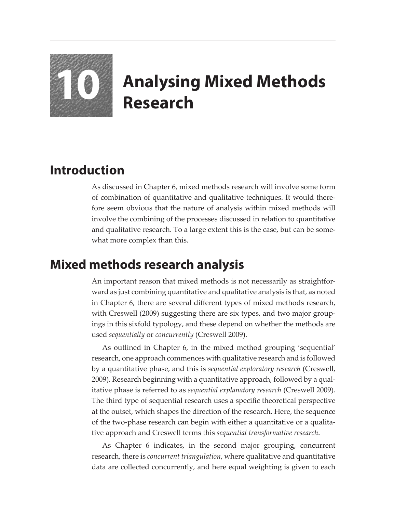

## **10 Analysing Mixed Methods Research**

## **Introduction**

As discussed in Chapter 6, mixed methods research will involve some form of combination of quantitative and qualitative techniques. It would therefore seem obvious that the nature of analysis within mixed methods will involve the combining of the processes discussed in relation to quantitative and qualitative research. To a large extent this is the case, but can be somewhat more complex than this.

## **Mixed methods research analysis**

An important reason that mixed methods is not necessarily as straightforward as just combining quantitative and qualitative analysis is that, as noted in Chapter 6, there are several different types of mixed methods research, with Creswell (2009) suggesting there are six types, and two major groupings in this sixfold typology, and these depend on whether the methods are used *sequentially* or *concurrently* (Creswell 2009).

As outlined in Chapter 6, in the mixed method grouping 'sequential' research, one approach commences with qualitative research and is followed by a quantitative phase, and this is *sequential exploratory research* (Creswell, 2009). Research beginning with a quantitative approach, followed by a qualitative phase is referred to as *sequential explanatory research* (Creswell 2009). The third type of sequential research uses a specific theoretical perspective at the outset, which shapes the direction of the research. Here, the sequence of the two-phase research can begin with either a quantitative or a qualitative approach and Creswell terms this *sequential transformative research*.

As Chapter 6 indicates, in the second major grouping, concurrent research, there is *concurrent triangulation*, where qualitative and quantitative data are collected concurrently, and here equal weighting is given to each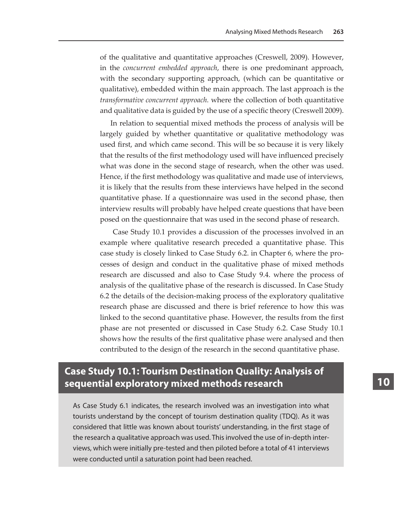of the qualitative and quantitative approaches (Creswell, 2009). However, in the *concurrent embedded approach*, there is one predominant approach, with the secondary supporting approach, (which can be quantitative or qualitative), embedded within the main approach. The last approach is the *transformative concurrent approach.* where the collection of both quantitative and qualitative data is guided by the use of a specific theory (Creswell 2009).

In relation to sequential mixed methods the process of analysis will be largely guided by whether quantitative or qualitative methodology was used first, and which came second. This will be so because it is very likely that the results of the first methodology used will have influenced precisely what was done in the second stage of research, when the other was used. Hence, if the first methodology was qualitative and made use of interviews, it is likely that the results from these interviews have helped in the second quantitative phase. If a questionnaire was used in the second phase, then interview results will probably have helped create questions that have been posed on the questionnaire that was used in the second phase of research.

 Case Study 10.1 provides a discussion of the processes involved in an example where qualitative research preceded a quantitative phase. This case study is closely linked to Case Study 6.2. in Chapter 6, where the processes of design and conduct in the qualitative phase of mixed methods research are discussed and also to Case Study 9.4. where the process of analysis of the qualitative phase of the research is discussed. In Case Study 6.2 the details of the decision-making process of the exploratory qualitative research phase are discussed and there is brief reference to how this was linked to the second quantitative phase. However, the results from the first phase are not presented or discussed in Case Study 6.2. Case Study 10.1 shows how the results of the first qualitative phase were analysed and then contributed to the design of the research in the second quantitative phase.

## **Case Study 10.1: Tourism Destination Quality: Analysis of sequential exploratory mixed methods research**

As Case Study 6.1 indicates, the research involved was an investigation into what tourists understand by the concept of tourism destination quality (TDQ). As it was considered that little was known about tourists' understanding, in the first stage of the research a qualitative approach was used. This involved the use of in-depth interviews, which were initially pre-tested and then piloted before a total of 41 interviews were conducted until a saturation point had been reached.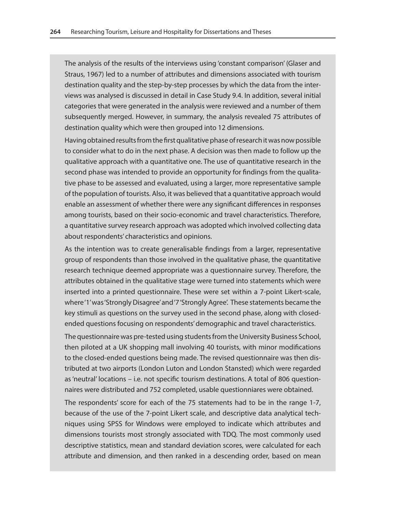The analysis of the results of the interviews using 'constant comparison' (Glaser and Straus, 1967) led to a number of attributes and dimensions associated with tourism destination quality and the step-by-step processes by which the data from the interviews was analysed is discussed in detail in Case Study 9.4. In addition, several initial categories that were generated in the analysis were reviewed and a number of them subsequently merged. However, in summary, the analysis revealed 75 attributes of destination quality which were then grouped into 12 dimensions.

Having obtained results from the first qualitative phase of research it was now possible to consider what to do in the next phase. A decision was then made to follow up the qualitative approach with a quantitative one. The use of quantitative research in the second phase was intended to provide an opportunity for findings from the qualitative phase to be assessed and evaluated, using a larger, more representative sample of the population of tourists. Also, it was believed that a quantitative approach would enable an assessment of whether there were any significant differences in responses among tourists, based on their socio-economic and travel characteristics. Therefore, a quantitative survey research approach was adopted which involved collecting data about respondents' characteristics and opinions.

As the intention was to create generalisable findings from a larger, representative group of respondents than those involved in the qualitative phase, the quantitative research technique deemed appropriate was a questionnaire survey. Therefore, the attributes obtained in the qualitative stage were turned into statements which were inserted into a printed questionnaire. These were set within a 7-point Likert-scale, where '1' was 'Strongly Disagree' and '7 'Strongly Agree'. These statements became the key stimuli as questions on the survey used in the second phase, along with closedended questions focusing on respondents' demographic and travel characteristics.

The questionnaire was pre-tested using students from the University Business School, then piloted at a UK shopping mall involving 40 tourists, with minor modifications to the closed-ended questions being made. The revised questionnaire was then distributed at two airports (London Luton and London Stansted) which were regarded as 'neutral' locations – i.e. not specific tourism destinations. A total of 806 questionnaires were distributed and 752 completed, usable questionniares were obtained.

The respondents' score for each of the 75 statements had to be in the range 1-7, because of the use of the 7-point Likert scale, and descriptive data analytical techniques using SPSS for Windows were employed to indicate which attributes and dimensions tourists most strongly associated with TDQ. The most commonly used descriptive statistics, mean and standard deviation scores, were calculated for each attribute and dimension, and then ranked in a descending order, based on mean